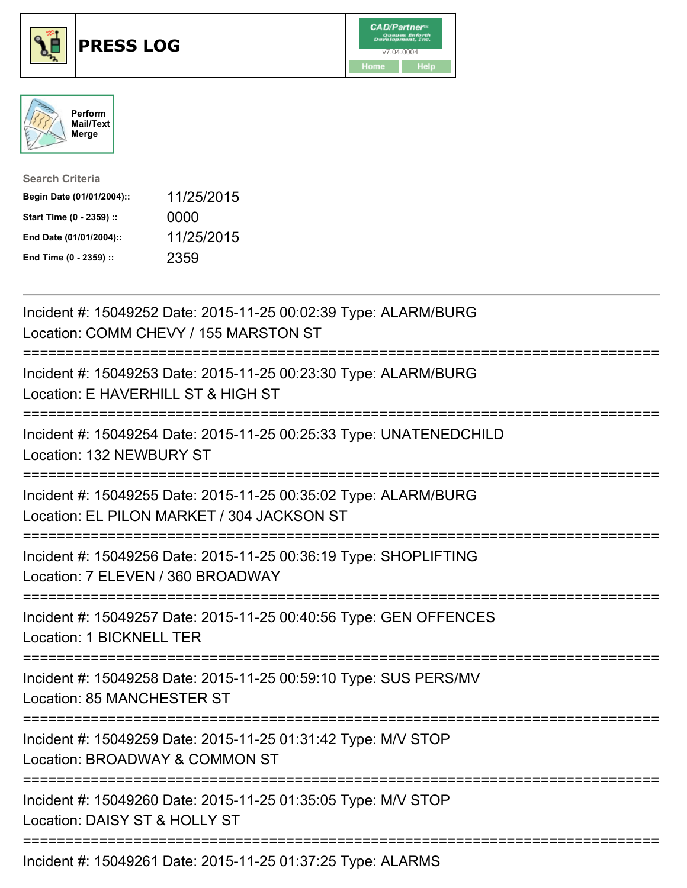





| <b>Search Criteria</b>    |            |
|---------------------------|------------|
| Begin Date (01/01/2004):: | 11/25/2015 |
| Start Time (0 - 2359) ::  | 0000       |
| End Date (01/01/2004)::   | 11/25/2015 |
| End Time (0 - 2359) ::    | 2359       |

| Incident #: 15049252 Date: 2015-11-25 00:02:39 Type: ALARM/BURG<br>Location: COMM CHEVY / 155 MARSTON ST                              |
|---------------------------------------------------------------------------------------------------------------------------------------|
| Incident #: 15049253 Date: 2015-11-25 00:23:30 Type: ALARM/BURG<br>Location: E HAVERHILL ST & HIGH ST                                 |
| Incident #: 15049254 Date: 2015-11-25 00:25:33 Type: UNATENEDCHILD<br>Location: 132 NEWBURY ST                                        |
| Incident #: 15049255 Date: 2015-11-25 00:35:02 Type: ALARM/BURG<br>Location: EL PILON MARKET / 304 JACKSON ST<br>-------------------- |
| Incident #: 15049256 Date: 2015-11-25 00:36:19 Type: SHOPLIFTING<br>Location: 7 ELEVEN / 360 BROADWAY                                 |
| Incident #: 15049257 Date: 2015-11-25 00:40:56 Type: GEN OFFENCES<br>Location: 1 BICKNELL TER<br>---------------                      |
| Incident #: 15049258 Date: 2015-11-25 00:59:10 Type: SUS PERS/MV<br>Location: 85 MANCHESTER ST<br>======================              |
| Incident #: 15049259 Date: 2015-11-25 01:31:42 Type: M/V STOP<br>Location: BROADWAY & COMMON ST                                       |
| Incident #: 15049260 Date: 2015-11-25 01:35:05 Type: M/V STOP<br>Location: DAISY ST & HOLLY ST                                        |
| Incident #: 15049261 Date: 2015-11-25 01:37:25 Type: ALARMS                                                                           |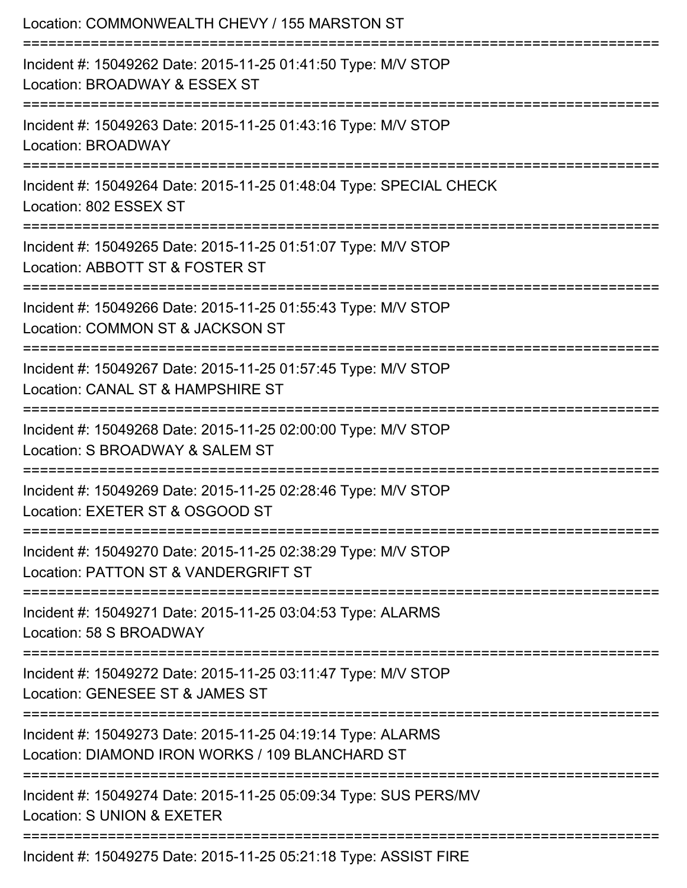| Location: COMMONWEALTH CHEVY / 155 MARSTON ST                                                                                             |
|-------------------------------------------------------------------------------------------------------------------------------------------|
| Incident #: 15049262 Date: 2015-11-25 01:41:50 Type: M/V STOP<br>Location: BROADWAY & ESSEX ST                                            |
| Incident #: 15049263 Date: 2015-11-25 01:43:16 Type: M/V STOP<br>Location: BROADWAY                                                       |
| Incident #: 15049264 Date: 2015-11-25 01:48:04 Type: SPECIAL CHECK<br>Location: 802 ESSEX ST                                              |
| Incident #: 15049265 Date: 2015-11-25 01:51:07 Type: M/V STOP<br>Location: ABBOTT ST & FOSTER ST                                          |
| Incident #: 15049266 Date: 2015-11-25 01:55:43 Type: M/V STOP<br>Location: COMMON ST & JACKSON ST<br>==================================== |
| Incident #: 15049267 Date: 2015-11-25 01:57:45 Type: M/V STOP<br>Location: CANAL ST & HAMPSHIRE ST                                        |
| Incident #: 15049268 Date: 2015-11-25 02:00:00 Type: M/V STOP<br>Location: S BROADWAY & SALEM ST                                          |
| Incident #: 15049269 Date: 2015-11-25 02:28:46 Type: M/V STOP<br>Location: EXETER ST & OSGOOD ST                                          |
| =============================<br>Incident #: 15049270 Date: 2015-11-25 02:38:29 Type: M/V STOP<br>Location: PATTON ST & VANDERGRIFT ST    |
| Incident #: 15049271 Date: 2015-11-25 03:04:53 Type: ALARMS<br>Location: 58 S BROADWAY                                                    |
| Incident #: 15049272 Date: 2015-11-25 03:11:47 Type: M/V STOP<br>Location: GENESEE ST & JAMES ST                                          |
| ----------------------<br>Incident #: 15049273 Date: 2015-11-25 04:19:14 Type: ALARMS<br>Location: DIAMOND IRON WORKS / 109 BLANCHARD ST  |
| Incident #: 15049274 Date: 2015-11-25 05:09:34 Type: SUS PERS/MV<br>Location: S UNION & EXETER                                            |
| Incident #: 15049275 Date: 2015-11-25 05:21:18 Type: ASSIST FIRE                                                                          |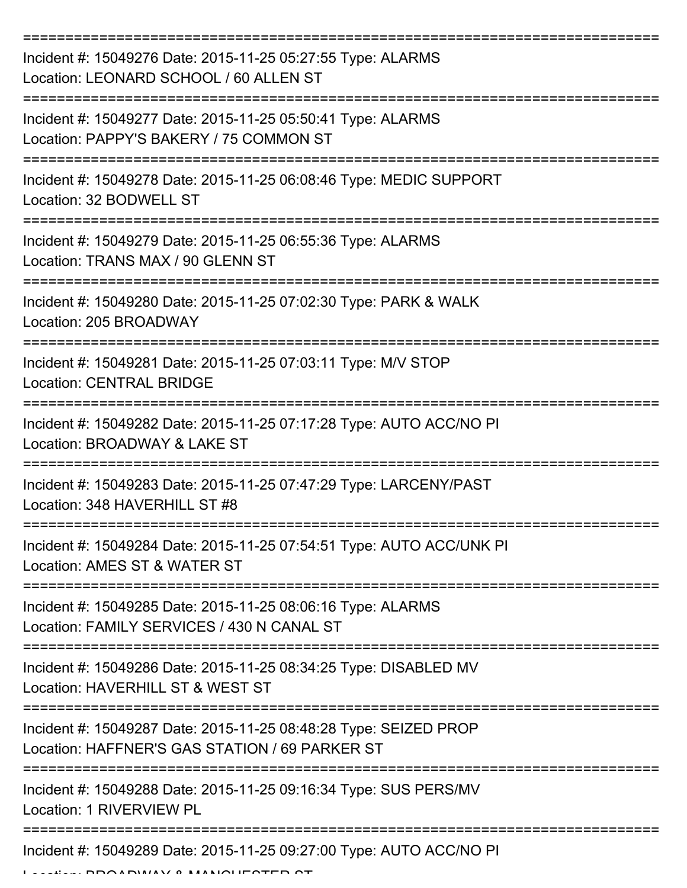| Incident #: 15049276 Date: 2015-11-25 05:27:55 Type: ALARMS<br>Location: LEONARD SCHOOL / 60 ALLEN ST                                                                                                                                                                                                                                                                                                                                                                                               |
|-----------------------------------------------------------------------------------------------------------------------------------------------------------------------------------------------------------------------------------------------------------------------------------------------------------------------------------------------------------------------------------------------------------------------------------------------------------------------------------------------------|
| Incident #: 15049277 Date: 2015-11-25 05:50:41 Type: ALARMS<br>Location: PAPPY'S BAKERY / 75 COMMON ST                                                                                                                                                                                                                                                                                                                                                                                              |
| Incident #: 15049278 Date: 2015-11-25 06:08:46 Type: MEDIC SUPPORT<br>Location: 32 BODWELL ST                                                                                                                                                                                                                                                                                                                                                                                                       |
| Incident #: 15049279 Date: 2015-11-25 06:55:36 Type: ALARMS<br>Location: TRANS MAX / 90 GLENN ST                                                                                                                                                                                                                                                                                                                                                                                                    |
| Incident #: 15049280 Date: 2015-11-25 07:02:30 Type: PARK & WALK<br>Location: 205 BROADWAY                                                                                                                                                                                                                                                                                                                                                                                                          |
| Incident #: 15049281 Date: 2015-11-25 07:03:11 Type: M/V STOP<br><b>Location: CENTRAL BRIDGE</b>                                                                                                                                                                                                                                                                                                                                                                                                    |
| Incident #: 15049282 Date: 2015-11-25 07:17:28 Type: AUTO ACC/NO PI<br>Location: BROADWAY & LAKE ST<br>=========                                                                                                                                                                                                                                                                                                                                                                                    |
| Incident #: 15049283 Date: 2015-11-25 07:47:29 Type: LARCENY/PAST<br>Location: 348 HAVERHILL ST #8<br>---------------                                                                                                                                                                                                                                                                                                                                                                               |
| Incident #: 15049284 Date: 2015-11-25 07:54:51 Type: AUTO ACC/UNK PI<br>Location: AMES ST & WATER ST                                                                                                                                                                                                                                                                                                                                                                                                |
| Incident #: 15049285 Date: 2015-11-25 08:06:16 Type: ALARMS<br>Location: FAMILY SERVICES / 430 N CANAL ST                                                                                                                                                                                                                                                                                                                                                                                           |
| Incident #: 15049286 Date: 2015-11-25 08:34:25 Type: DISABLED MV<br>Location: HAVERHILL ST & WEST ST                                                                                                                                                                                                                                                                                                                                                                                                |
| Incident #: 15049287 Date: 2015-11-25 08:48:28 Type: SEIZED PROP<br>Location: HAFFNER'S GAS STATION / 69 PARKER ST                                                                                                                                                                                                                                                                                                                                                                                  |
| Incident #: 15049288 Date: 2015-11-25 09:16:34 Type: SUS PERS/MV<br>Location: 1 RIVERVIEW PL                                                                                                                                                                                                                                                                                                                                                                                                        |
| Incident #: 15049289 Date: 2015-11-25 09:27:00 Type: AUTO ACC/NO PI<br>$\bigcap (I - I) \cup (I - I) \cup (I - I) \cup (I - I) \cup (I - I) \cup (I - I) \cup (I - I) \cup (I - I) \cup (I - I) \cup (I - I) \cup (I - I) \cup (I - I) \cup (I - I) \cup (I - I) \cup (I - I) \cup (I - I) \cup (I - I) \cup (I - I) \cup (I - I) \cup (I - I) \cup (I - I) \cup (I - I) \cup (I - I) \cup (I - I) \cup (I - I) \cup (I - I) \cup (I - I) \cup (I - I) \cup (I - I) \cup (I - I) \cup (I - I) \cup$ |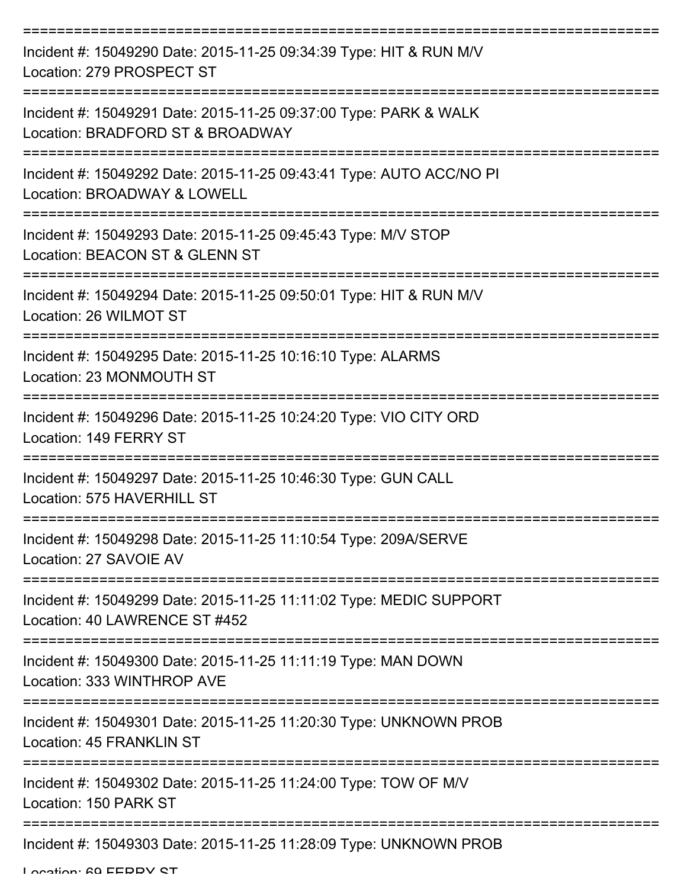| Incident #: 15049290 Date: 2015-11-25 09:34:39 Type: HIT & RUN M/V<br>Location: 279 PROSPECT ST      |
|------------------------------------------------------------------------------------------------------|
| Incident #: 15049291 Date: 2015-11-25 09:37:00 Type: PARK & WALK<br>Location: BRADFORD ST & BROADWAY |
| Incident #: 15049292 Date: 2015-11-25 09:43:41 Type: AUTO ACC/NO PI<br>Location: BROADWAY & LOWELL   |
| Incident #: 15049293 Date: 2015-11-25 09:45:43 Type: M/V STOP<br>Location: BEACON ST & GLENN ST      |
| Incident #: 15049294 Date: 2015-11-25 09:50:01 Type: HIT & RUN M/V<br>Location: 26 WILMOT ST         |
| Incident #: 15049295 Date: 2015-11-25 10:16:10 Type: ALARMS<br>Location: 23 MONMOUTH ST              |
| Incident #: 15049296 Date: 2015-11-25 10:24:20 Type: VIO CITY ORD<br>Location: 149 FERRY ST          |
| Incident #: 15049297 Date: 2015-11-25 10:46:30 Type: GUN CALL<br>Location: 575 HAVERHILL ST          |
| Incident #: 15049298 Date: 2015-11-25 11:10:54 Type: 209A/SERVE<br>Location: 27 SAVOIE AV            |
| Incident #: 15049299 Date: 2015-11-25 11:11:02 Type: MEDIC SUPPORT<br>Location: 40 LAWRENCE ST #452  |
| Incident #: 15049300 Date: 2015-11-25 11:11:19 Type: MAN DOWN<br>Location: 333 WINTHROP AVE          |
| Incident #: 15049301 Date: 2015-11-25 11:20:30 Type: UNKNOWN PROB<br>Location: 45 FRANKLIN ST        |
| Incident #: 15049302 Date: 2015-11-25 11:24:00 Type: TOW OF M/V<br>Location: 150 PARK ST             |
| Incident #: 15049303 Date: 2015-11-25 11:28:09 Type: UNKNOWN PROB                                    |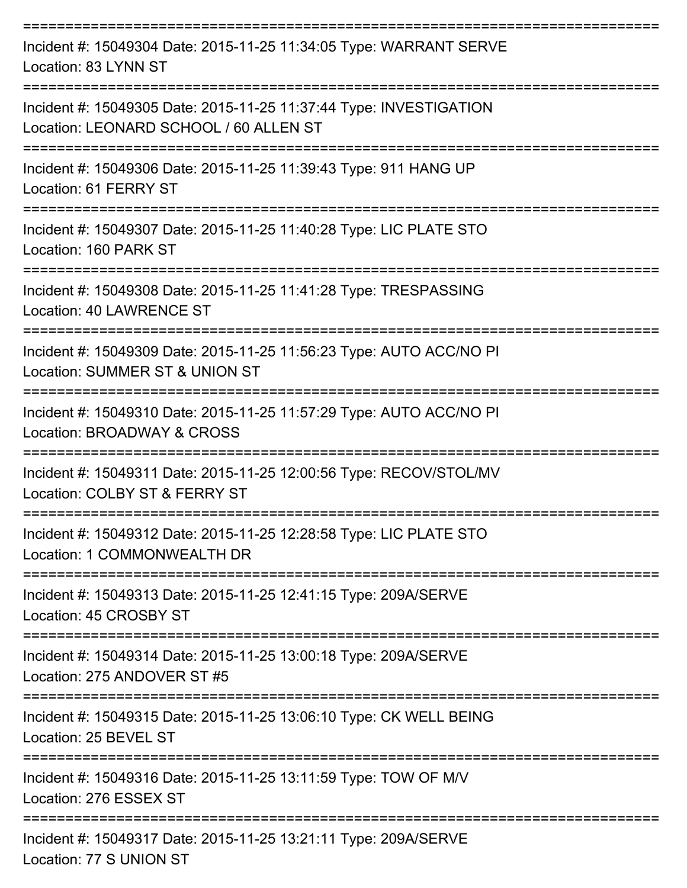| Incident #: 15049304 Date: 2015-11-25 11:34:05 Type: WARRANT SERVE<br>Location: 83 LYNN ST                   |
|--------------------------------------------------------------------------------------------------------------|
| Incident #: 15049305 Date: 2015-11-25 11:37:44 Type: INVESTIGATION<br>Location: LEONARD SCHOOL / 60 ALLEN ST |
| Incident #: 15049306 Date: 2015-11-25 11:39:43 Type: 911 HANG UP<br>Location: 61 FERRY ST                    |
| Incident #: 15049307 Date: 2015-11-25 11:40:28 Type: LIC PLATE STO<br>Location: 160 PARK ST                  |
| Incident #: 15049308 Date: 2015-11-25 11:41:28 Type: TRESPASSING<br><b>Location: 40 LAWRENCE ST</b>          |
| Incident #: 15049309 Date: 2015-11-25 11:56:23 Type: AUTO ACC/NO PI<br>Location: SUMMER ST & UNION ST        |
| Incident #: 15049310 Date: 2015-11-25 11:57:29 Type: AUTO ACC/NO PI<br>Location: BROADWAY & CROSS            |
| Incident #: 15049311 Date: 2015-11-25 12:00:56 Type: RECOV/STOL/MV<br>Location: COLBY ST & FERRY ST          |
| Incident #: 15049312 Date: 2015-11-25 12:28:58 Type: LIC PLATE STO<br>Location: 1 COMMONWEALTH DR            |
| Incident #: 15049313 Date: 2015-11-25 12:41:15 Type: 209A/SERVE<br>Location: 45 CROSBY ST                    |
| Incident #: 15049314 Date: 2015-11-25 13:00:18 Type: 209A/SERVE<br>Location: 275 ANDOVER ST #5               |
| Incident #: 15049315 Date: 2015-11-25 13:06:10 Type: CK WELL BEING<br>Location: 25 BEVEL ST                  |
| Incident #: 15049316 Date: 2015-11-25 13:11:59 Type: TOW OF M/V<br>Location: 276 ESSEX ST                    |
| Incident #: 15049317 Date: 2015-11-25 13:21:11 Type: 209A/SERVE<br>Location: 77 S UNION ST                   |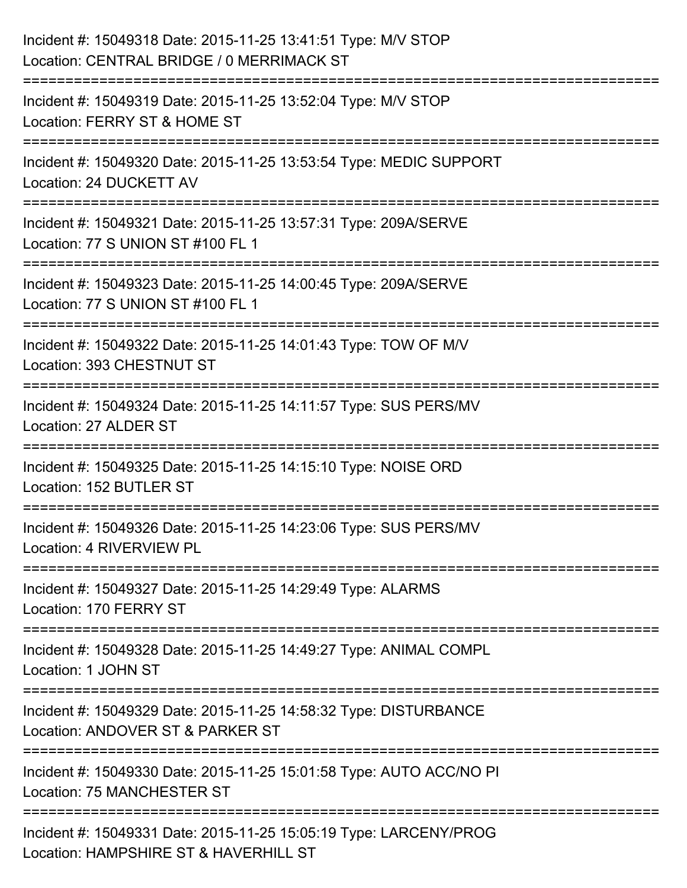| Incident #: 15049318 Date: 2015-11-25 13:41:51 Type: M/V STOP<br>Location: CENTRAL BRIDGE / 0 MERRIMACK ST                 |
|----------------------------------------------------------------------------------------------------------------------------|
| :========================<br>Incident #: 15049319 Date: 2015-11-25 13:52:04 Type: M/V STOP<br>Location: FERRY ST & HOME ST |
| Incident #: 15049320 Date: 2015-11-25 13:53:54 Type: MEDIC SUPPORT<br>Location: 24 DUCKETT AV                              |
| Incident #: 15049321 Date: 2015-11-25 13:57:31 Type: 209A/SERVE<br>Location: 77 S UNION ST #100 FL 1                       |
| Incident #: 15049323 Date: 2015-11-25 14:00:45 Type: 209A/SERVE<br>Location: 77 S UNION ST #100 FL 1                       |
| Incident #: 15049322 Date: 2015-11-25 14:01:43 Type: TOW OF M/V<br>Location: 393 CHESTNUT ST                               |
| Incident #: 15049324 Date: 2015-11-25 14:11:57 Type: SUS PERS/MV<br>Location: 27 ALDER ST                                  |
| Incident #: 15049325 Date: 2015-11-25 14:15:10 Type: NOISE ORD<br>Location: 152 BUTLER ST                                  |
| Incident #: 15049326 Date: 2015-11-25 14:23:06 Type: SUS PERS/MV<br>Location: 4 RIVERVIEW PL                               |
| Incident #: 15049327 Date: 2015-11-25 14:29:49 Type: ALARMS<br>Location: 170 FERRY ST                                      |
| Incident #: 15049328 Date: 2015-11-25 14:49:27 Type: ANIMAL COMPL<br>Location: 1 JOHN ST                                   |
| Incident #: 15049329 Date: 2015-11-25 14:58:32 Type: DISTURBANCE<br>Location: ANDOVER ST & PARKER ST                       |
| Incident #: 15049330 Date: 2015-11-25 15:01:58 Type: AUTO ACC/NO PI<br>Location: 75 MANCHESTER ST                          |
| Incident #: 15049331 Date: 2015-11-25 15:05:19 Type: LARCENY/PROG<br>Location: HAMPSHIRE ST & HAVERHILL ST                 |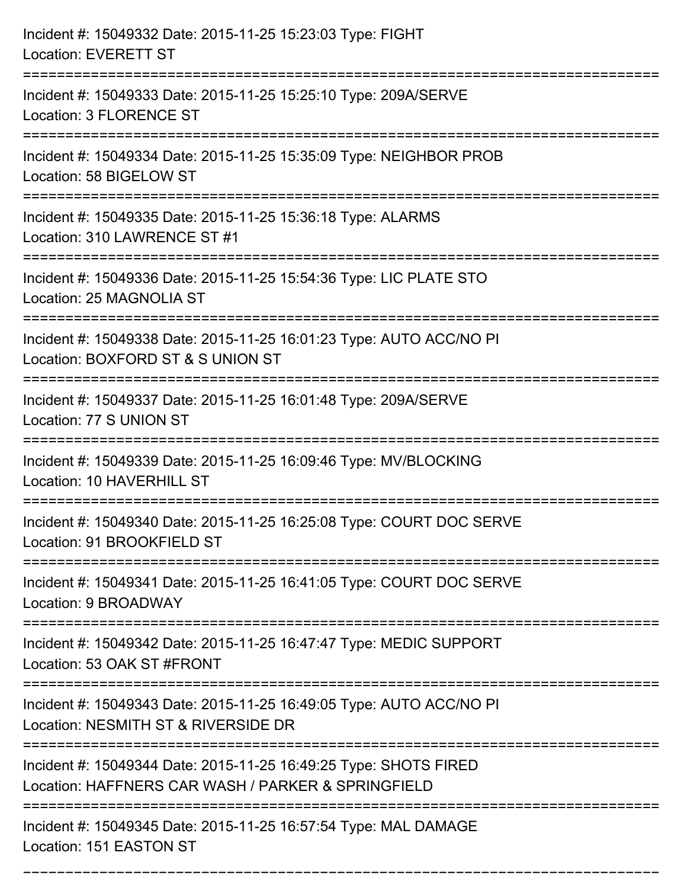| Incident #: 15049332 Date: 2015-11-25 15:23:03 Type: FIGHT<br><b>Location: EVERETT ST</b>                                             |
|---------------------------------------------------------------------------------------------------------------------------------------|
| Incident #: 15049333 Date: 2015-11-25 15:25:10 Type: 209A/SERVE<br>Location: 3 FLORENCE ST                                            |
| Incident #: 15049334 Date: 2015-11-25 15:35:09 Type: NEIGHBOR PROB<br>Location: 58 BIGELOW ST<br>:=======================             |
| Incident #: 15049335 Date: 2015-11-25 15:36:18 Type: ALARMS<br>Location: 310 LAWRENCE ST #1                                           |
| Incident #: 15049336 Date: 2015-11-25 15:54:36 Type: LIC PLATE STO<br>Location: 25 MAGNOLIA ST                                        |
| Incident #: 15049338 Date: 2015-11-25 16:01:23 Type: AUTO ACC/NO PI<br>Location: BOXFORD ST & S UNION ST                              |
| Incident #: 15049337 Date: 2015-11-25 16:01:48 Type: 209A/SERVE<br>Location: 77 S UNION ST                                            |
| Incident #: 15049339 Date: 2015-11-25 16:09:46 Type: MV/BLOCKING<br>Location: 10 HAVERHILL ST                                         |
| Incident #: 15049340 Date: 2015-11-25 16:25:08 Type: COURT DOC SERVE<br>Location: 91 BROOKFIELD ST                                    |
| Incident #: 15049341 Date: 2015-11-25 16:41:05 Type: COURT DOC SERVE<br>Location: 9 BROADWAY                                          |
| =================================<br>Incident #: 15049342 Date: 2015-11-25 16:47:47 Type: MEDIC SUPPORT<br>Location: 53 OAK ST #FRONT |
| Incident #: 15049343 Date: 2015-11-25 16:49:05 Type: AUTO ACC/NO PI<br>Location: NESMITH ST & RIVERSIDE DR                            |
| Incident #: 15049344 Date: 2015-11-25 16:49:25 Type: SHOTS FIRED<br>Location: HAFFNERS CAR WASH / PARKER & SPRINGFIELD                |
| Incident #: 15049345 Date: 2015-11-25 16:57:54 Type: MAL DAMAGE<br>Location: 151 EASTON ST                                            |

===========================================================================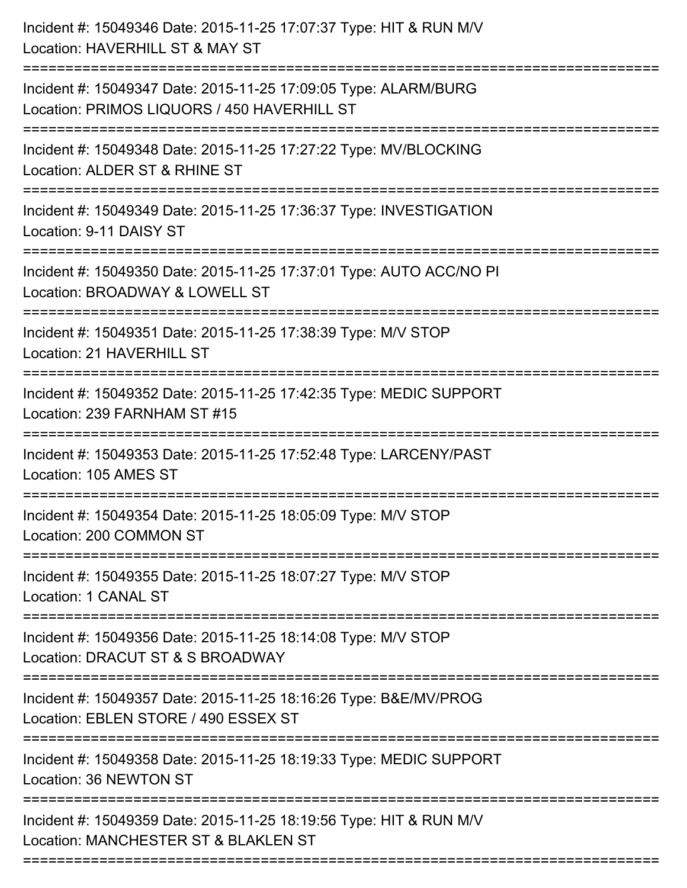| Incident #: 15049346 Date: 2015-11-25 17:07:37 Type: HIT & RUN M/V<br>Location: HAVERHILL ST & MAY ST                                   |
|-----------------------------------------------------------------------------------------------------------------------------------------|
| Incident #: 15049347 Date: 2015-11-25 17:09:05 Type: ALARM/BURG<br>Location: PRIMOS LIQUORS / 450 HAVERHILL ST                          |
| Incident #: 15049348 Date: 2015-11-25 17:27:22 Type: MV/BLOCKING<br>Location: ALDER ST & RHINE ST                                       |
| Incident #: 15049349 Date: 2015-11-25 17:36:37 Type: INVESTIGATION<br>Location: 9-11 DAISY ST                                           |
| Incident #: 15049350 Date: 2015-11-25 17:37:01 Type: AUTO ACC/NO PI<br>Location: BROADWAY & LOWELL ST<br>.============================= |
| Incident #: 15049351 Date: 2015-11-25 17:38:39 Type: M/V STOP<br>Location: 21 HAVERHILL ST                                              |
| Incident #: 15049352 Date: 2015-11-25 17:42:35 Type: MEDIC SUPPORT<br>Location: 239 FARNHAM ST #15                                      |
| Incident #: 15049353 Date: 2015-11-25 17:52:48 Type: LARCENY/PAST<br>Location: 105 AMES ST                                              |
| Incident #: 15049354 Date: 2015-11-25 18:05:09 Type: M/V STOP<br>Location: 200 COMMON ST                                                |
| Incident #: 15049355 Date: 2015-11-25 18:07:27 Type: M/V STOP<br>Location: 1 CANAL ST                                                   |
| Incident #: 15049356 Date: 2015-11-25 18:14:08 Type: M/V STOP<br>Location: DRACUT ST & S BROADWAY                                       |
| Incident #: 15049357 Date: 2015-11-25 18:16:26 Type: B&E/MV/PROG<br>Location: EBLEN STORE / 490 ESSEX ST                                |
| Incident #: 15049358 Date: 2015-11-25 18:19:33 Type: MEDIC SUPPORT<br>Location: 36 NEWTON ST                                            |
| Incident #: 15049359 Date: 2015-11-25 18:19:56 Type: HIT & RUN M/V<br>Location: MANCHESTER ST & BLAKLEN ST                              |
|                                                                                                                                         |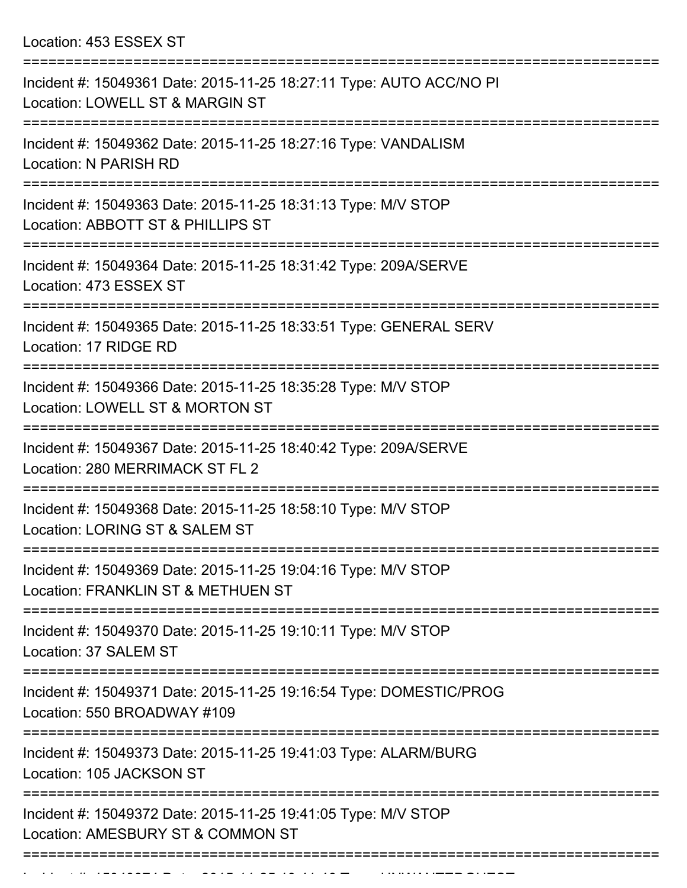Location: 453 ESSEX ST

| Incident #: 15049361 Date: 2015-11-25 18:27:11 Type: AUTO ACC/NO PI<br>Location: LOWELL ST & MARGIN ST<br>----------------- |
|-----------------------------------------------------------------------------------------------------------------------------|
| Incident #: 15049362 Date: 2015-11-25 18:27:16 Type: VANDALISM<br>Location: N PARISH RD                                     |
| Incident #: 15049363 Date: 2015-11-25 18:31:13 Type: M/V STOP<br>Location: ABBOTT ST & PHILLIPS ST                          |
| Incident #: 15049364 Date: 2015-11-25 18:31:42 Type: 209A/SERVE<br>Location: 473 ESSEX ST                                   |
| =====================<br>Incident #: 15049365 Date: 2015-11-25 18:33:51 Type: GENERAL SERV<br>Location: 17 RIDGE RD         |
| Incident #: 15049366 Date: 2015-11-25 18:35:28 Type: M/V STOP<br>Location: LOWELL ST & MORTON ST                            |
| Incident #: 15049367 Date: 2015-11-25 18:40:42 Type: 209A/SERVE<br>Location: 280 MERRIMACK ST FL 2                          |
| Incident #: 15049368 Date: 2015-11-25 18:58:10 Type: M/V STOP<br>Location: LORING ST & SALEM ST                             |
| Incident #: 15049369 Date: 2015-11-25 19:04:16 Type: M/V STOP<br>Location: FRANKLIN ST & METHUEN ST                         |
| Incident #: 15049370 Date: 2015-11-25 19:10:11 Type: M/V STOP<br>Location: 37 SALEM ST                                      |
| Incident #: 15049371 Date: 2015-11-25 19:16:54 Type: DOMESTIC/PROG<br>Location: 550 BROADWAY #109                           |
| Incident #: 15049373 Date: 2015-11-25 19:41:03 Type: ALARM/BURG<br>Location: 105 JACKSON ST                                 |
| Incident #: 15049372 Date: 2015-11-25 19:41:05 Type: M/V STOP<br>Location: AMESBURY ST & COMMON ST                          |
|                                                                                                                             |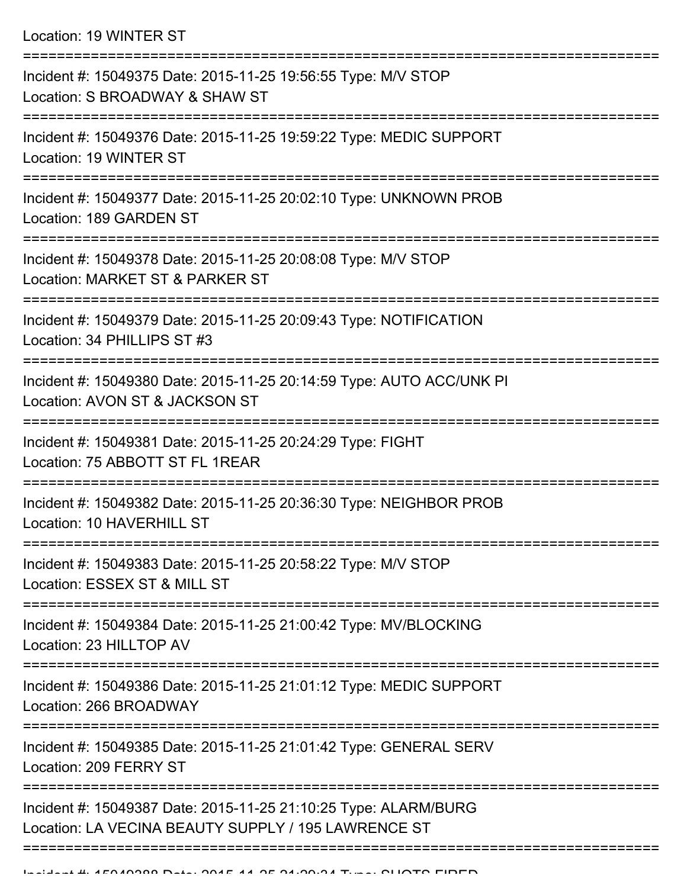Location: 19 WINTER ST

| Incident #: 15049375 Date: 2015-11-25 19:56:55 Type: M/V STOP<br>Location: S BROADWAY & SHAW ST                        |
|------------------------------------------------------------------------------------------------------------------------|
| Incident #: 15049376 Date: 2015-11-25 19:59:22 Type: MEDIC SUPPORT<br>Location: 19 WINTER ST                           |
| Incident #: 15049377 Date: 2015-11-25 20:02:10 Type: UNKNOWN PROB<br>Location: 189 GARDEN ST                           |
| Incident #: 15049378 Date: 2015-11-25 20:08:08 Type: M/V STOP<br>Location: MARKET ST & PARKER ST                       |
| Incident #: 15049379 Date: 2015-11-25 20:09:43 Type: NOTIFICATION<br>Location: 34 PHILLIPS ST #3                       |
| Incident #: 15049380 Date: 2015-11-25 20:14:59 Type: AUTO ACC/UNK PI<br>Location: AVON ST & JACKSON ST                 |
| Incident #: 15049381 Date: 2015-11-25 20:24:29 Type: FIGHT<br>Location: 75 ABBOTT ST FL 1REAR                          |
| Incident #: 15049382 Date: 2015-11-25 20:36:30 Type: NEIGHBOR PROB<br>Location: 10 HAVERHILL ST                        |
| Incident #: 15049383 Date: 2015-11-25 20:58:22 Type: M/V STOP<br>Location: ESSEX ST & MILL ST                          |
| Incident #: 15049384 Date: 2015-11-25 21:00:42 Type: MV/BLOCKING<br>Location: 23 HILLTOP AV                            |
| Incident #: 15049386 Date: 2015-11-25 21:01:12 Type: MEDIC SUPPORT<br>Location: 266 BROADWAY                           |
| Incident #: 15049385 Date: 2015-11-25 21:01:42 Type: GENERAL SERV<br>Location: 209 FERRY ST                            |
| Incident #: 15049387 Date: 2015-11-25 21:10:25 Type: ALARM/BURG<br>Location: LA VECINA BEAUTY SUPPLY / 195 LAWRENCE ST |
|                                                                                                                        |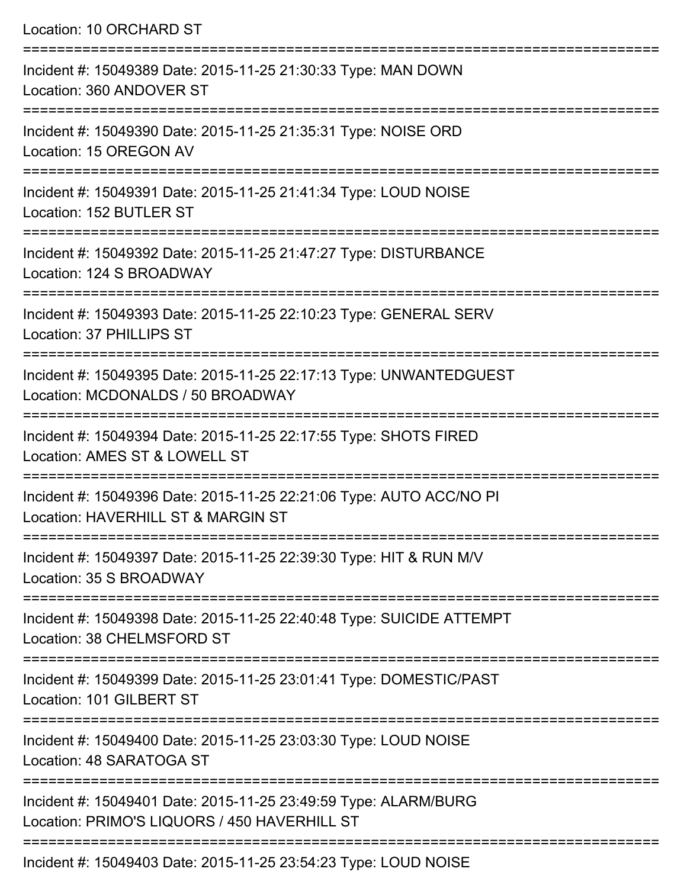| Location: 10 ORCHARD ST                                                                                                          |
|----------------------------------------------------------------------------------------------------------------------------------|
| Incident #: 15049389 Date: 2015-11-25 21:30:33 Type: MAN DOWN<br>Location: 360 ANDOVER ST                                        |
| Incident #: 15049390 Date: 2015-11-25 21:35:31 Type: NOISE ORD<br>Location: 15 OREGON AV<br>:=================================== |
| Incident #: 15049391 Date: 2015-11-25 21:41:34 Type: LOUD NOISE<br>Location: 152 BUTLER ST                                       |
| Incident #: 15049392 Date: 2015-11-25 21:47:27 Type: DISTURBANCE<br>Location: 124 S BROADWAY                                     |
| Incident #: 15049393 Date: 2015-11-25 22:10:23 Type: GENERAL SERV<br>Location: 37 PHILLIPS ST                                    |
| Incident #: 15049395 Date: 2015-11-25 22:17:13 Type: UNWANTEDGUEST<br>Location: MCDONALDS / 50 BROADWAY                          |
| Incident #: 15049394 Date: 2015-11-25 22:17:55 Type: SHOTS FIRED<br>Location: AMES ST & LOWELL ST                                |
| Incident #: 15049396 Date: 2015-11-25 22:21:06 Type: AUTO ACC/NO PI<br>Location: HAVERHILL ST & MARGIN ST                        |
| Incident #: 15049397 Date: 2015-11-25 22:39:30 Type: HIT & RUN M/V<br>Location: 35 S BROADWAY                                    |
| Incident #: 15049398 Date: 2015-11-25 22:40:48 Type: SUICIDE ATTEMPT<br>Location: 38 CHELMSFORD ST                               |
| Incident #: 15049399 Date: 2015-11-25 23:01:41 Type: DOMESTIC/PAST<br>Location: 101 GILBERT ST                                   |
| Incident #: 15049400 Date: 2015-11-25 23:03:30 Type: LOUD NOISE<br>Location: 48 SARATOGA ST                                      |
| Incident #: 15049401 Date: 2015-11-25 23:49:59 Type: ALARM/BURG<br>Location: PRIMO'S LIQUORS / 450 HAVERHILL ST                  |
| $.0045$ 44.05.00.54.00 T. $\text{m}$ = $.1$ OUD NOIOE                                                                            |

Incident #: 15049403 Date: 2015-11-25 23:54:23 Type: LOUD NOISE